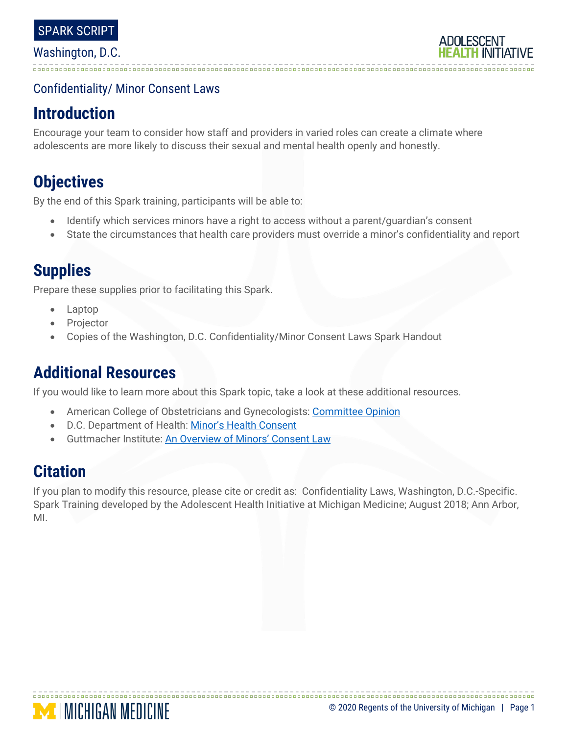

## Confidentiality/ Minor Consent Laws

## **Introduction**

Encourage your team to consider how staff and providers in varied roles can create a climate where adolescents are more likely to discuss their sexual and mental health openly and honestly.

# **Objectives**

By the end of this Spark training, participants will be able to:

- Identify which services minors have a right to access without a parent/guardian's consent
- State the circumstances that health care providers must override a minor's confidentiality and report

# **Supplies**

Prepare these supplies prior to facilitating this Spark.

- Laptop
- **Projector**
- Copies of the Washington, D.C. Confidentiality/Minor Consent Laws Spark Handout

# **Additional Resources**

If you would like to learn more about this Spark topic, take a look at these additional resources.

- American College of Obstetricians and Gynecologists: [Committee Opinion](https://www.acog.org/Clinical-Guidance-and-Publications/Committee-Opinions/Committee-on-Adolescent-Health-Care/Adolescent-Confidentiality-and-Electronic-Health-Records)
- D.C. Department of Health: [Minor's Health Consent](https://doh.dc.gov/sites/default/files/dc/sites/doh/publication/attachments/DCMR%2022%20B600_7.pdf)
- Guttmacher Institute: [An Overview of Minors' Consent Law](https://www.guttmacher.org/state-policy/explore/overview-minors-consent-law)

# **Citation**

If you plan to modify this resource, please cite or credit as: Confidentiality Laws, Washington, D.C.-Specific. Spark Training developed by the Adolescent Health Initiative at Michigan Medicine; August 2018; Ann Arbor, MI.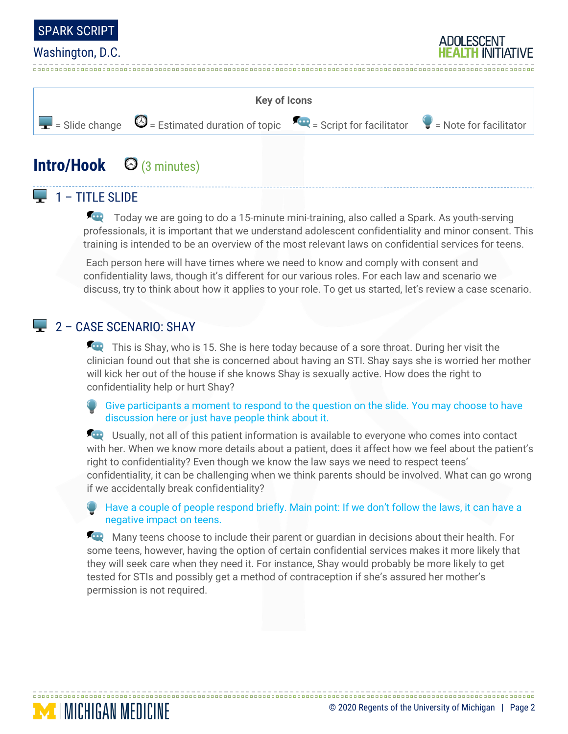

#### Washington, D.C.



## **Intro/Hook** (3 minutes)

## $\Box$  1 – TITLE SLIDE

Today we are going to do a 15-minute mini-training, also called a Spark. As youth-serving professionals, it is important that we understand adolescent confidentiality and minor consent. This training is intended to be an overview of the most relevant laws on confidential services for teens.

Each person here will have times where we need to know and comply with consent and confidentiality laws, though it's different for our various roles. For each law and scenario we discuss, try to think about how it applies to your role. To get us started, let's review a case scenario.

#### 2 – CASE SCENARIO: SHAY

**MICHIGAN MEDICINE** 

This is Shay, who is 15. She is here today because of a sore throat. During her visit the clinician found out that she is concerned about having an STI. Shay says she is worried her mother will kick her out of the house if she knows Shay is sexually active. How does the right to confidentiality help or hurt Shay?

Give participants a moment to respond to the question on the slide. You may choose to have discussion here or just have people think about it.

**EXCO** Usually, not all of this patient information is available to everyone who comes into contact with her. When we know more details about a patient, does it affect how we feel about the patient's right to confidentiality? Even though we know the law says we need to respect teens' confidentiality, it can be challenging when we think parents should be involved. What can go wrong if we accidentally break confidentiality?

Have a couple of people respond briefly. Main point: If we don't follow the laws, it can have a negative impact on teens.

Many teens choose to include their parent or guardian in decisions about their health. For some teens, however, having the option of certain confidential services makes it more likely that they will seek care when they need it. For instance, Shay would probably be more likely to get tested for STIs and possibly get a method of contraception if she's assured her mother's permission is not required.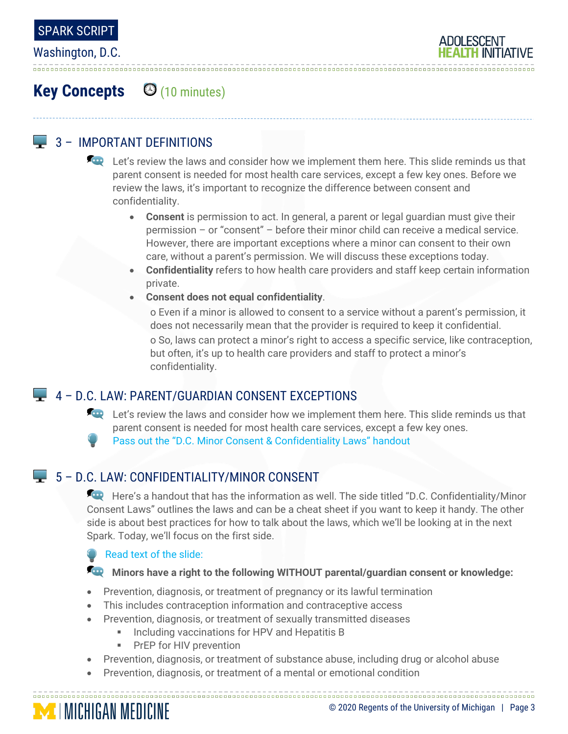

Washington, D.C.



# **Key Concepts** (10 minutes)

### **4** 3 - IMPORTANT DEFINITIONS

Let's review the laws and consider how we implement them here. This slide reminds us that parent consent is needed for most health care services, except a few key ones. Before we review the laws, it's important to recognize the difference between consent and confidentiality.

- **Consent** is permission to act. In general, a parent or legal guardian must give their permission – or "consent" – before their minor child can receive a medical service. However, there are important exceptions where a minor can consent to their own care, without a parent's permission. We will discuss these exceptions today.
- **Confidentiality** refers to how health care providers and staff keep certain information private.
- **Consent does not equal confidentiality**.

o Even if a minor is allowed to consent to a service without a parent's permission, it does not necessarily mean that the provider is required to keep it confidential. o So, laws can protect a minor's right to access a specific service, like contraception, but often, it's up to health care providers and staff to protect a minor's confidentiality.

## 4 – D.C. LAW: PARENT/GUARDIAN CONSENT EXCEPTIONS

Let's review the laws and consider how we implement them here. This slide reminds us that parent consent is needed for most health care services, except a few key ones. Pass out the "D.C. Minor Consent & Confidentiality Laws" handout

## $\Box$  5 – D.C. LAW: CONFIDENTIALITY/MINOR CONSENT

Here's a handout that has the information as well. The side titled "D.C. Confidentiality/Minor Consent Laws" outlines the laws and can be a cheat sheet if you want to keep it handy. The other side is about best practices for how to talk about the laws, which we'll be looking at in the next Spark. Today, we'll focus on the first side.

#### Read text of the slide:

#### **Minors have a right to the following WITHOUT parental/guardian consent or knowledge:**

- Prevention, diagnosis, or treatment of pregnancy or its lawful termination
- This includes contraception information and contraceptive access
- Prevention, diagnosis, or treatment of sexually transmitted diseases
	- **Including vaccinations for HPV and Hepatitis B**
	- **PrEP for HIV prevention**
- Prevention, diagnosis, or treatment of substance abuse, including drug or alcohol abuse

• Prevention, diagnosis, or treatment of a mental or emotional condition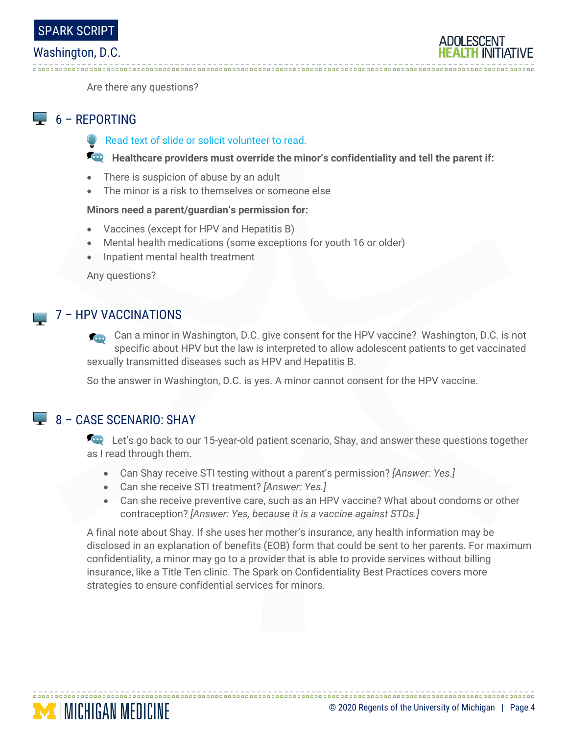#### Washington, D.C.

**Contract** 



Are there any questions?

#### 6 – REPORTING

Read text of slide or solicit volunteer to read.

**Healthcare providers must override the minor's confidentiality and tell the parent if:** 

- There is suspicion of abuse by an adult
- The minor is a risk to themselves or someone else

#### **Minors need a parent/guardian's permission for:**

- Vaccines (except for HPV and Hepatitis B)
- Mental health medications (some exceptions for youth 16 or older)
- Inpatient mental health treatment

Any questions?

#### 7 – HPV VACCINATIONS

Can a minor in Washington, D.C. give consent for the HPV vaccine? Washington, D.C. is not specific about HPV but the law is interpreted to allow adolescent patients to get vaccinated sexually transmitted diseases such as HPV and Hepatitis B.

So the answer in Washington, D.C. is yes. A minor cannot consent for the HPV vaccine.

### $8 - CASE SCENARIO: SHAY$

**MINICHIGAN MEDICINE** 

Let's go back to our 15-year-old patient scenario, Shay, and answer these questions together as I read through them.

• Can Shay receive STI testing without a parent's permission? *[Answer: Yes.]*

- Can she receive STI treatment? *[Answer: Yes.]*
- Can she receive preventive care, such as an HPV vaccine? What about condoms or other contraception? *[Answer: Yes, because it is a vaccine against STDs.]*

A final note about Shay. If she uses her mother's insurance, any health information may be disclosed in an explanation of benefits (EOB) form that could be sent to her parents. For maximum confidentiality, a minor may go to a provider that is able to provide services without billing insurance, like a Title Ten clinic. The Spark on Confidentiality Best Practices covers more strategies to ensure confidential services for minors.